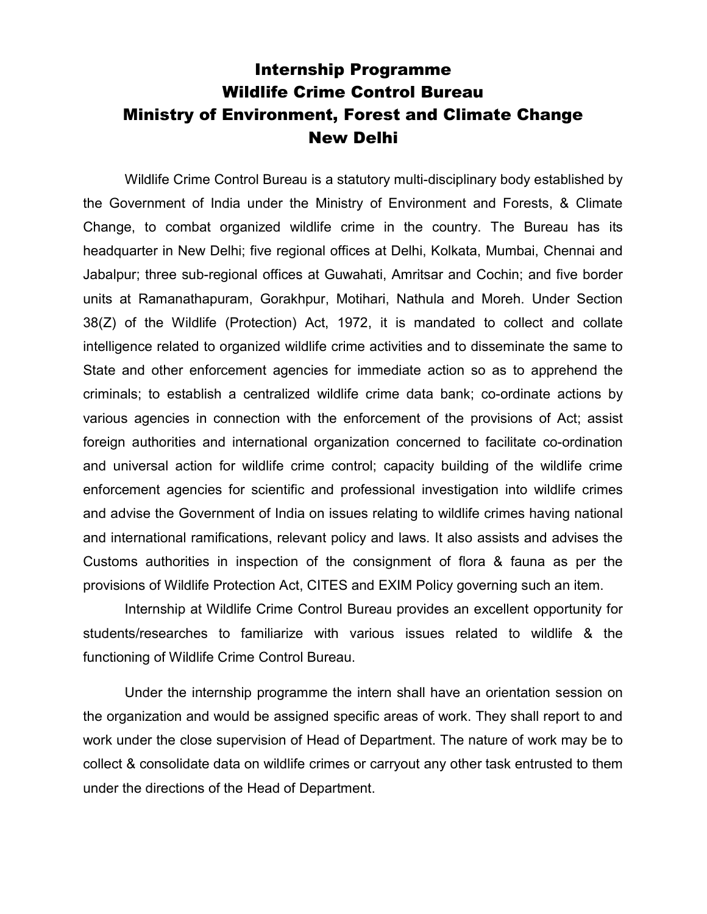# Internship Programme Wildlife Crime Control Bureau Ministry of Environment, Forest and Climate Change New Delhi

Wildlife Crime Control Bureau is a statutory multi-disciplinary body established by the Government of India under the Ministry of Environment and Forests, & Climate Change, to combat organized wildlife crime in the country. The Bureau has its headquarter in New Delhi; five regional offices at Delhi, Kolkata, Mumbai, Chennai and Jabalpur; three sub-regional offices at Guwahati, Amritsar and Cochin; and five border units at Ramanathapuram, Gorakhpur, Motihari, Nathula and Moreh. Under Section 38(Z) of the Wildlife (Protection) Act, 1972, it is mandated to collect and collate intelligence related to organized wildlife crime activities and to disseminate the same to State and other enforcement agencies for immediate action so as to apprehend the criminals; to establish a centralized wildlife crime data bank; co-ordinate actions by various agencies in connection with the enforcement of the provisions of Act; assist foreign authorities and international organization concerned to facilitate co-ordination and universal action for wildlife crime control; capacity building of the wildlife crime enforcement agencies for scientific and professional investigation into wildlife crimes and advise the Government of India on issues relating to wildlife crimes having national and international ramifications, relevant policy and laws. It also assists and advises the Customs authorities in inspection of the consignment of flora & fauna as per the provisions of Wildlife Protection Act, CITES and EXIM Policy governing such an item.

 Internship at Wildlife Crime Control Bureau provides an excellent opportunity for students/researches to familiarize with various issues related to wildlife & the functioning of Wildlife Crime Control Bureau.

 Under the internship programme the intern shall have an orientation session on the organization and would be assigned specific areas of work. They shall report to and work under the close supervision of Head of Department. The nature of work may be to collect & consolidate data on wildlife crimes or carryout any other task entrusted to them under the directions of the Head of Department.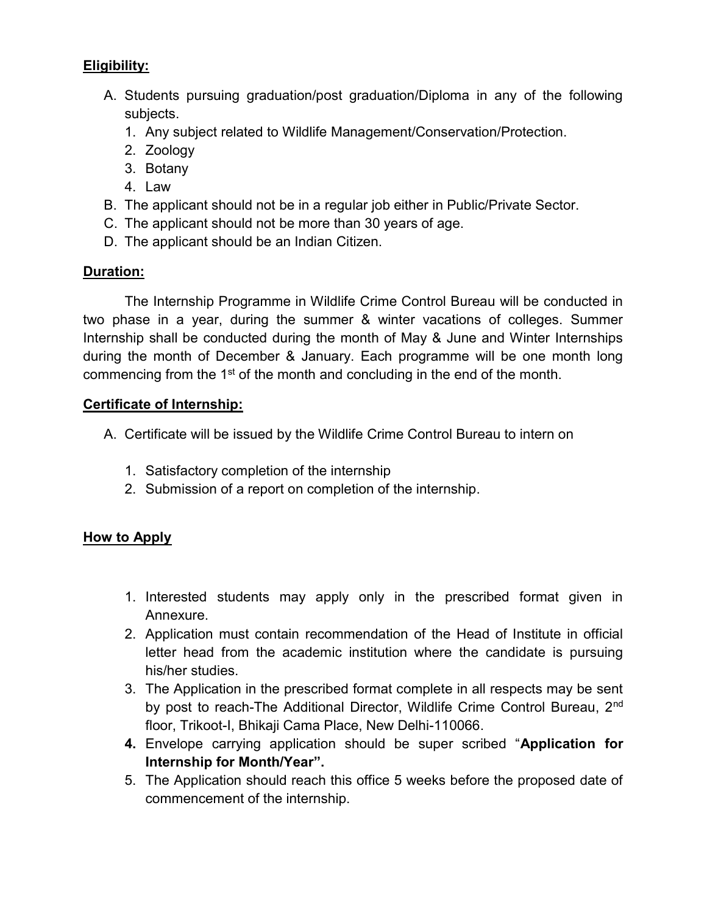# Eligibility:

- A. Students pursuing graduation/post graduation/Diploma in any of the following subjects.
	- 1. Any subject related to Wildlife Management/Conservation/Protection.
	- 2. Zoology
	- 3. Botany
	- 4. Law
- B. The applicant should not be in a regular job either in Public/Private Sector.
- C. The applicant should not be more than 30 years of age.
- D. The applicant should be an Indian Citizen.

#### Duration:

 The Internship Programme in Wildlife Crime Control Bureau will be conducted in two phase in a year, during the summer & winter vacations of colleges. Summer Internship shall be conducted during the month of May & June and Winter Internships during the month of December & January. Each programme will be one month long commencing from the 1<sup>st</sup> of the month and concluding in the end of the month.

#### Certificate of Internship:

- A. Certificate will be issued by the Wildlife Crime Control Bureau to intern on
	- 1. Satisfactory completion of the internship
	- 2. Submission of a report on completion of the internship.

#### How to Apply

- 1. Interested students may apply only in the prescribed format given in Annexure.
- 2. Application must contain recommendation of the Head of Institute in official letter head from the academic institution where the candidate is pursuing his/her studies.
- 3. The Application in the prescribed format complete in all respects may be sent by post to reach-The Additional Director, Wildlife Crime Control Bureau, 2<sup>nd</sup> floor, Trikoot-I, Bhikaji Cama Place, New Delhi-110066.
- 4. Envelope carrying application should be super scribed "Application for Internship for Month/Year".
- 5. The Application should reach this office 5 weeks before the proposed date of commencement of the internship.